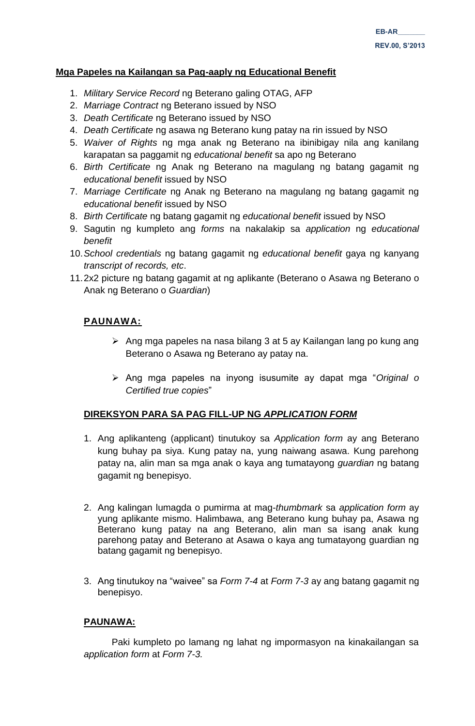## **Mga Papeles na Kailangan sa Pag-aaply ng Educational Benefit**

- 1. *Military Service Record* ng Beterano galing OTAG, AFP
- 2. *Marriage Contract* ng Beterano issued by NSO
- 3. *Death Certificate* ng Beterano issued by NSO
- 4. *Death Certificate* ng asawa ng Beterano kung patay na rin issued by NSO
- 5. *Waiver of Rights* ng mga anak ng Beterano na ibinibigay nila ang kanilang karapatan sa paggamit ng *educational benefit* sa apo ng Beterano
- 6. *Birth Certificate* ng Anak ng Beterano na magulang ng batang gagamit ng *educational benefit* issued by NSO
- 7. *Marriage Certificate* ng Anak ng Beterano na magulang ng batang gagamit ng *educational benefit* issued by NSO
- 8. *Birth Certificate* ng batang gagamit ng *educational benefit* issued by NSO
- 9. Sagutin ng kumpleto ang *forms* na nakalakip sa *application* ng *educational benefit*
- 10.*School credentials* ng batang gagamit ng *educational benefit* gaya ng kanyang *transcript of records, etc*.
- 11.2x2 picture ng batang gagamit at ng aplikante (Beterano o Asawa ng Beterano o Anak ng Beterano o *Guardian*)

# **PAUNAWA:**

- $\triangleright$  Ang mga papeles na nasa bilang 3 at 5 ay Kailangan lang po kung ang Beterano o Asawa ng Beterano ay patay na.
- Ang mga papeles na inyong isusumite ay dapat mga "*Original o Certified true copies*"

## **DIREKSYON PARA SA PAG FILL-UP NG** *APPLICATION FORM*

- 1. Ang aplikanteng (applicant) tinutukoy sa *Application form* ay ang Beterano kung buhay pa siya. Kung patay na, yung naiwang asawa. Kung parehong patay na, alin man sa mga anak o kaya ang tumatayong *guardian* ng batang gagamit ng benepisyo.
- 2. Ang kalingan lumagda o pumirma at mag-*thumbmark* sa *application form* ay yung aplikante mismo. Halimbawa, ang Beterano kung buhay pa, Asawa ng Beterano kung patay na ang Beterano, alin man sa isang anak kung parehong patay and Beterano at Asawa o kaya ang tumatayong guardian ng batang gagamit ng benepisyo.
- 3. Ang tinutukoy na "waivee" sa *Form 7-4* at *Form 7-3* ay ang batang gagamit ng benepisyo.

# **PAUNAWA:**

Paki kumpleto po lamang ng lahat ng impormasyon na kinakailangan sa *application form* at *Form 7-3.*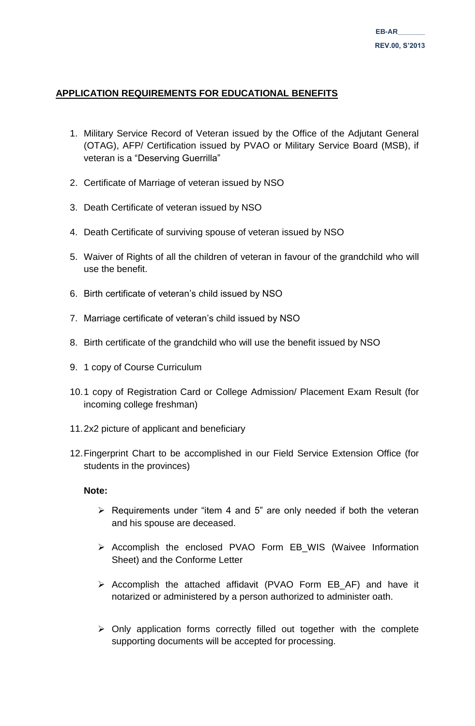# **APPLICATION REQUIREMENTS FOR EDUCATIONAL BENEFITS**

- 1. Military Service Record of Veteran issued by the Office of the Adjutant General (OTAG), AFP/ Certification issued by PVAO or Military Service Board (MSB), if veteran is a "Deserving Guerrilla"
- 2. Certificate of Marriage of veteran issued by NSO
- 3. Death Certificate of veteran issued by NSO
- 4. Death Certificate of surviving spouse of veteran issued by NSO
- 5. Waiver of Rights of all the children of veteran in favour of the grandchild who will use the benefit.
- 6. Birth certificate of veteran's child issued by NSO
- 7. Marriage certificate of veteran's child issued by NSO
- 8. Birth certificate of the grandchild who will use the benefit issued by NSO
- 9. 1 copy of Course Curriculum
- 10.1 copy of Registration Card or College Admission/ Placement Exam Result (for incoming college freshman)
- 11.2x2 picture of applicant and beneficiary
- 12.Fingerprint Chart to be accomplished in our Field Service Extension Office (for students in the provinces)

# **Note:**

- $\triangleright$  Requirements under "item 4 and 5" are only needed if both the veteran and his spouse are deceased.
- $\triangleright$  Accomplish the enclosed PVAO Form EB\_WIS (Waivee Information Sheet) and the Conforme Letter
- $\triangleright$  Accomplish the attached affidavit (PVAO Form EB AF) and have it notarized or administered by a person authorized to administer oath.
- $\triangleright$  Only application forms correctly filled out together with the complete supporting documents will be accepted for processing.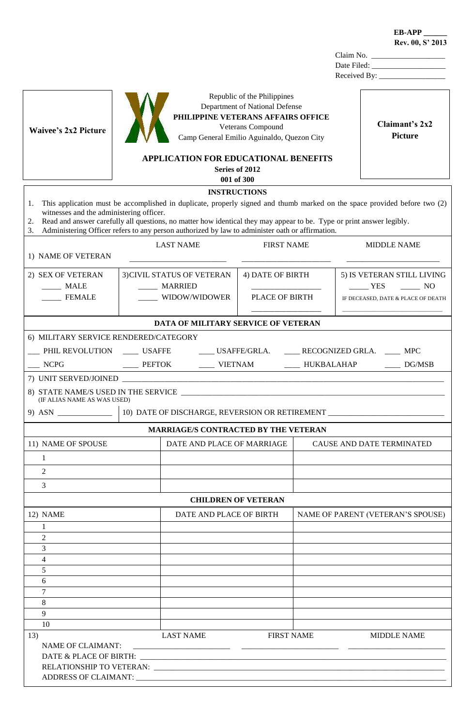| <b>Waivee's 2x2 Picture</b>                                |                                                                                                                                                                                                                          | Republic of the Philippines<br>Department of National Defense<br>PHILIPPINE VETERANS AFFAIRS OFFICE<br>Veterans Compound<br>Camp General Emilio Aguinaldo, Quezon City | Claimant's 2x2<br><b>Picture</b>                                                                                          |
|------------------------------------------------------------|--------------------------------------------------------------------------------------------------------------------------------------------------------------------------------------------------------------------------|------------------------------------------------------------------------------------------------------------------------------------------------------------------------|---------------------------------------------------------------------------------------------------------------------------|
|                                                            | APPLICATION FOR EDUCATIONAL BENEFITS<br>001 of 300                                                                                                                                                                       | Series of 2012                                                                                                                                                         |                                                                                                                           |
|                                                            | <b>INSTRUCTIONS</b>                                                                                                                                                                                                      |                                                                                                                                                                        |                                                                                                                           |
| 1.<br>witnesses and the administering officer.<br>2.<br>3. | Read and answer carefully all questions, no matter how identical they may appear to be. Type or print answer legibly.<br>Administering Officer refers to any person authorized by law to administer oath or affirmation. |                                                                                                                                                                        | This application must be accomplished in duplicate, properly signed and thumb marked on the space provided before two (2) |
|                                                            | <b>LAST NAME</b>                                                                                                                                                                                                         | <b>FIRST NAME</b>                                                                                                                                                      | <b>MIDDLE NAME</b>                                                                                                        |
| 1) NAME OF VETERAN                                         |                                                                                                                                                                                                                          |                                                                                                                                                                        |                                                                                                                           |
| 2) SEX OF VETERAN<br><b>MALE</b>                           | 3) CIVIL STATUS OF VETERAN<br><b>MARRIED</b>                                                                                                                                                                             | 4) DATE OF BIRTH                                                                                                                                                       | 5) IS VETERAN STILL LIVING<br>$YES$ NO                                                                                    |
| <b>FEMALE</b>                                              | WIDOW/WIDOWER                                                                                                                                                                                                            | PLACE OF BIRTH                                                                                                                                                         | IF DECEASED, DATE & PLACE OF DEATH                                                                                        |
|                                                            | DATA OF MILITARY SERVICE OF VETERAN                                                                                                                                                                                      |                                                                                                                                                                        |                                                                                                                           |
| 6) MILITARY SERVICE RENDERED/CATEGORY                      |                                                                                                                                                                                                                          |                                                                                                                                                                        |                                                                                                                           |
|                                                            | PHIL REVOLUTION _______ USAFFE                                                                                                                                                                                           |                                                                                                                                                                        | ____ USAFFE/GRLA. _____ RECOGNIZED GRLA. ____ MPC                                                                         |
| <b>NCPG</b>                                                | ____ PEFTOK ______ VIETNAM _______ HUKBALAHAP ______ DG/MSB                                                                                                                                                              |                                                                                                                                                                        |                                                                                                                           |
|                                                            | 7) UNIT SERVED/JOINED                                                                                                                                                                                                    |                                                                                                                                                                        |                                                                                                                           |
| (IF ALIAS NAME AS WAS USED)                                |                                                                                                                                                                                                                          |                                                                                                                                                                        |                                                                                                                           |
|                                                            | 10) DATE OF DISCHARGE, REVERSION OR RETIREMENT                                                                                                                                                                           |                                                                                                                                                                        |                                                                                                                           |
|                                                            | MARRIAGE/S CONTRACTED BY THE VETERAN                                                                                                                                                                                     |                                                                                                                                                                        |                                                                                                                           |
| 11) NAME OF SPOUSE                                         | DATE AND PLACE OF MARRIAGE                                                                                                                                                                                               |                                                                                                                                                                        | CAUSE AND DATE TERMINATED                                                                                                 |
| $\mathbf{1}$                                               |                                                                                                                                                                                                                          |                                                                                                                                                                        |                                                                                                                           |
| 2                                                          |                                                                                                                                                                                                                          |                                                                                                                                                                        |                                                                                                                           |
| 3                                                          |                                                                                                                                                                                                                          |                                                                                                                                                                        |                                                                                                                           |
|                                                            | <b>CHILDREN OF VETERAN</b>                                                                                                                                                                                               |                                                                                                                                                                        |                                                                                                                           |
| 12) NAME                                                   | DATE AND PLACE OF BIRTH                                                                                                                                                                                                  |                                                                                                                                                                        | NAME OF PARENT (VETERAN'S SPOUSE)                                                                                         |
| 1                                                          |                                                                                                                                                                                                                          |                                                                                                                                                                        |                                                                                                                           |
| 2<br>3                                                     |                                                                                                                                                                                                                          |                                                                                                                                                                        |                                                                                                                           |
| 4                                                          |                                                                                                                                                                                                                          |                                                                                                                                                                        |                                                                                                                           |
| 5                                                          |                                                                                                                                                                                                                          |                                                                                                                                                                        |                                                                                                                           |
| 6                                                          |                                                                                                                                                                                                                          |                                                                                                                                                                        |                                                                                                                           |
| 7<br>8                                                     |                                                                                                                                                                                                                          |                                                                                                                                                                        |                                                                                                                           |
| 9                                                          |                                                                                                                                                                                                                          |                                                                                                                                                                        |                                                                                                                           |
| 10                                                         |                                                                                                                                                                                                                          |                                                                                                                                                                        |                                                                                                                           |
| 13)                                                        | <b>LAST NAME</b>                                                                                                                                                                                                         | <b>FIRST NAME</b>                                                                                                                                                      | <b>MIDDLE NAME</b>                                                                                                        |
| <b>NAME OF CLAIMANT:</b>                                   |                                                                                                                                                                                                                          |                                                                                                                                                                        |                                                                                                                           |
|                                                            |                                                                                                                                                                                                                          |                                                                                                                                                                        |                                                                                                                           |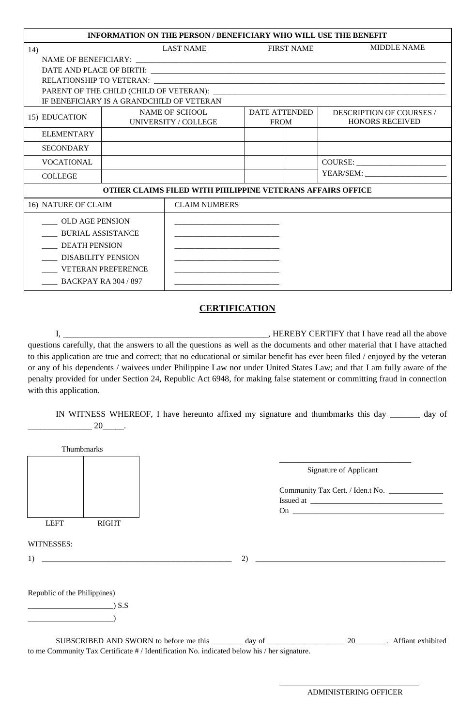|                                                    |                                           | INFORMATION ON THE PERSON / BENEFICIARY WHO WILL USE THE BENEFIT  |                                     |                    |                                                           |
|----------------------------------------------------|-------------------------------------------|-------------------------------------------------------------------|-------------------------------------|--------------------|-----------------------------------------------------------|
| 14)                                                | LAST NAME                                 | <b>FIRST NAME</b>                                                 |                                     | <b>MIDDLE NAME</b> |                                                           |
|                                                    |                                           |                                                                   |                                     |                    |                                                           |
|                                                    |                                           |                                                                   |                                     |                    |                                                           |
|                                                    |                                           |                                                                   |                                     |                    |                                                           |
|                                                    |                                           |                                                                   |                                     |                    |                                                           |
|                                                    | IF BENEFICIARY IS A GRANDCHILD OF VETERAN |                                                                   |                                     |                    |                                                           |
| 15) EDUCATION                                      | NAME OF SCHOOL<br>UNIVERSITY / COLLEGE    |                                                                   | <b>DATE ATTENDED</b><br><b>FROM</b> |                    | <b>DESCRIPTION OF COURSES</b> /<br><b>HONORS RECEIVED</b> |
| <b>ELEMENTARY</b>                                  |                                           |                                                                   |                                     |                    |                                                           |
| <b>SECONDARY</b>                                   |                                           |                                                                   |                                     |                    |                                                           |
| <b>VOCATIONAL</b>                                  |                                           |                                                                   |                                     |                    |                                                           |
| <b>COLLEGE</b>                                     |                                           |                                                                   |                                     |                    |                                                           |
|                                                    |                                           | <b>OTHER CLAIMS FILED WITH PHILIPPINE VETERANS AFFAIRS OFFICE</b> |                                     |                    |                                                           |
| 16) NATURE OF CLAIM                                |                                           | <b>CLAIM NUMBERS</b>                                              |                                     |                    |                                                           |
| <b>OLD AGE PENSION</b><br><b>BURIAL ASSISTANCE</b> |                                           |                                                                   |                                     |                    |                                                           |
| <b>DEATH PENSION</b>                               |                                           |                                                                   |                                     |                    |                                                           |
| <b>DISABILITY PENSION</b>                          |                                           |                                                                   |                                     |                    |                                                           |
|                                                    | <b>VETERAN PREFERENCE</b>                 |                                                                   |                                     |                    |                                                           |
| ____ BACKPAY RA 304 / 897                          |                                           |                                                                   |                                     |                    |                                                           |

## **CERTIFICATION**

I, \_\_\_\_\_\_\_\_\_\_\_\_\_\_\_\_\_\_\_\_\_\_\_\_\_\_\_\_\_\_\_\_\_\_\_\_\_\_\_\_\_\_\_\_\_\_\_\_, HEREBY CERTIFY that I have read all the above questions carefully, that the answers to all the questions as well as the documents and other material that I have attached to this application are true and correct; that no educational or similar benefit has ever been filed / enjoyed by the veteran or any of his dependents / waivees under Philippine Law nor under United States Law; and that I am fully aware of the penalty provided for under Section 24, Republic Act 6948, for making false statement or committing fraud in connection with this application.

IN WITNESS WHEREOF, I have hereunto affixed my signature and thumbmarks this day \_\_\_\_\_\_\_ day of  $20$ .

| <b>Thumbmarks</b>                                                                           |    |                        |  |  |
|---------------------------------------------------------------------------------------------|----|------------------------|--|--|
|                                                                                             |    | Signature of Applicant |  |  |
|                                                                                             |    |                        |  |  |
| <b>LEFT</b><br><b>RIGHT</b>                                                                 |    |                        |  |  |
| WITNESSES:                                                                                  |    |                        |  |  |
| 1)                                                                                          | 2) |                        |  |  |
| Republic of the Philippines)                                                                |    |                        |  |  |
| (S.S)                                                                                       |    |                        |  |  |
|                                                                                             |    |                        |  |  |
| to me Community Tax Certificate # / Identification No. indicated below his / her signature. |    |                        |  |  |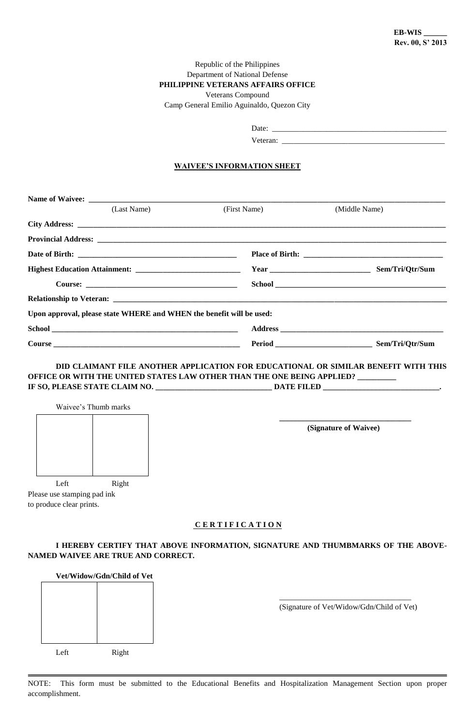#### Republic of the Philippines Department of National Defense **PHILIPPINE VETERANS AFFAIRS OFFICE** Veterans Compound Camp General Emilio Aguinaldo, Quezon City

Date:  $\frac{1}{\sqrt{2\pi}}$ 

Veteran: \_\_\_\_\_\_\_\_\_\_\_\_\_\_\_\_\_\_\_\_\_\_\_\_\_\_\_\_\_\_\_\_\_\_\_\_\_\_\_\_\_\_

#### **WAIVEE'S INFORMATION SHEET**

|  | (Last Name)                                                          | (First Name) | (Middle Name)   |  |
|--|----------------------------------------------------------------------|--------------|-----------------|--|
|  |                                                                      |              |                 |  |
|  |                                                                      |              |                 |  |
|  |                                                                      |              |                 |  |
|  |                                                                      |              |                 |  |
|  |                                                                      |              |                 |  |
|  |                                                                      |              |                 |  |
|  | Upon approval, please state WHERE and WHEN the benefit will be used: |              |                 |  |
|  |                                                                      |              |                 |  |
|  |                                                                      |              | Sem/Tri/Qtr/Sum |  |

### **DID CLAIMANT FILE ANOTHER APPLICATION FOR EDUCATIONAL OR SIMILAR BENEFIT WITH THIS OFFICE OR WITH THE UNITED STATES LAW OTHER THAN THE ONE BEING APPLIED? \_\_\_\_\_\_\_\_\_\_ IF SO, PLEASE STATE CLAIM NO. \_\_\_\_\_\_\_\_\_\_\_\_\_\_\_\_\_\_\_\_\_\_\_\_\_\_\_\_\_\_ DATE FILED \_\_\_\_\_\_\_\_\_\_\_\_\_\_\_\_\_\_\_\_\_\_\_\_\_\_\_\_\_\_.**

|                             |       | (Signature of Waivee) |
|-----------------------------|-------|-----------------------|
|                             |       |                       |
|                             |       |                       |
|                             |       |                       |
| Left                        | Right |                       |
| Please use stamping pad ink |       |                       |
| to produce clear prints.    |       |                       |

#### **I HEREBY CERTIFY THAT ABOVE INFORMATION, SIGNATURE AND THUMBMARKS OF THE ABOVE-NAMED WAIVEE ARE TRUE AND CORRECT.**

| Vet/Widow/Gdn/Child of Vet |       |  |
|----------------------------|-------|--|
|                            |       |  |
|                            |       |  |
|                            |       |  |
|                            |       |  |
| Left                       | Right |  |

\_\_\_\_\_\_\_\_\_\_\_\_\_\_\_\_\_\_\_\_\_\_\_\_\_\_\_\_\_\_\_\_\_\_ (Signature of Vet/Widow/Gdn/Child of Vet)

NOTE: This form must be submitted to the Educational Benefits and Hospitalization Management Section upon proper accomplishment.